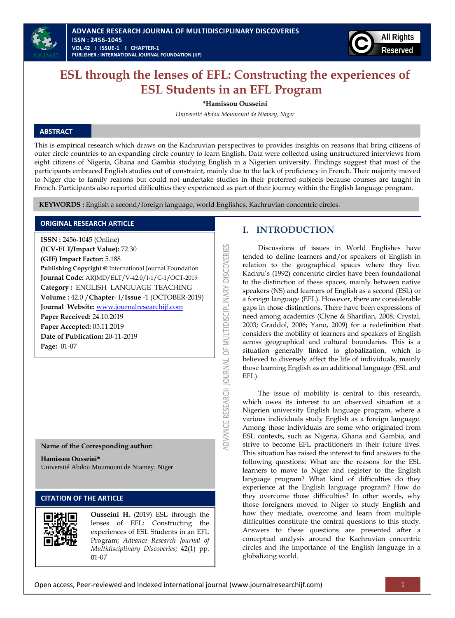



# **ESL through the lenses of EFL: Constructing the experiences of ESL Students in an EFL Program**

**\*Hamissou Ousseini**

*Université Abdou Moumouni de Niamey, Niger*

# **ABSTRACT**

This is empirical research which draws on the Kachruvian perspectives to provides insights on reasons that bring citizens of outer circle countries to an expanding circle country to learn English. Data were collected using unstructured interviews from eight citizens of Nigeria, Ghana and Gambia studying English in a Nigerien university. Findings suggest that most of the participants embraced English studies out of constraint, mainly due to the lack of proficiency in French. Their majority moved to Niger due to family reasons but could not undertake studies in their preferred subjects because courses are taught in French. Participants also reported difficulties they experienced as part of their journey within the English language program.

ADVANCE RESEARCH JOURNAL OF MULTIDISCIPLINARY DISCOVERIES

**KEYWORDS :** English a second/foreign language, world Englishes, Kachruvian concentric circles.

## **ORIGINAL RESEARCH ARTICLE**

**ISSN :** 2456-1045 (Online) **(ICV-ELT/Impact Value):** 72.30 **(GIF) Impact Factor:** 5.188 **Publishing Copyright @** International Journal Foundation **Journal Code:** ARJMD/ELT/V-42.0/I-1/C-1/OCT-2019 **Category :** ENGLISH LANGUAGE TEACHING **Volume :** 42.0 /**Chapter**- I/**Issue** -1 (OCTOBER-2019) **Journal Website:** [www.journalresearchijf.com](http://www.journalresearchijf.com/) **Paper Received:** 24.10.2019 **Paper Accepted:** 05.11.2019 **Date of Publication:** 20-11-2019 **Page:** 01-07

## **Name of the Corresponding author:**

**Hamissou Ousseini\*** Université Abdou Moumouni de Niamey, Niger

# **CITATION OF THE ARTICLE**



**Ousseini H.** (2019) ESL through the lenses of EFL: Constructing the experiences of ESL Students in an EFL Program; *Advance Research Journal of Multidisciplinary Discoveries;* 42(1) pp. 01-07

## **I. INTRODUCTION**

Discussions of issues in World Englishes have tended to define learners and/or speakers of English in relation to the geographical spaces where they live. Kachru"s (1992) concentric circles have been foundational to the distinction of these spaces, mainly between native speakers (NS) and learners of English as a second (ESL) or a foreign language (EFL). However, there are considerable gaps in those distinctions. There have been expressions of need among academics (Clyne & Sharifian, 2008; Crystal, 2003; Graddol, 2006; Yano, 2009) for a redefinition that considers the mobility of learners and speakers of English across geographical and cultural boundaries. This is a situation generally linked to globalization, which is believed to diversely affect the life of individuals, mainly those learning English as an additional language (ESL and EFL).

The issue of mobility is central to this research, which owes its interest to an observed situation at a Nigerien university English language program, where a various individuals study English as a foreign language. Among those individuals are some who originated from ESL contexts, such as Nigeria, Ghana and Gambia, and strive to become EFL practitioners in their future lives. This situation has raised the interest to find answers to the following questions: What are the reasons for the ESL learners to move to Niger and register to the English language program? What kind of difficulties do they experience at the English language program? How do they overcome those difficulties? In other words, why those foreigners moved to Niger to study English and how they mediate, overcome and learn from multiple difficulties constitute the central questions to this study. Answers to these questions are presented after a conceptual analysis around the Kachruvian concentric circles and the importance of the English language in a globalizing world.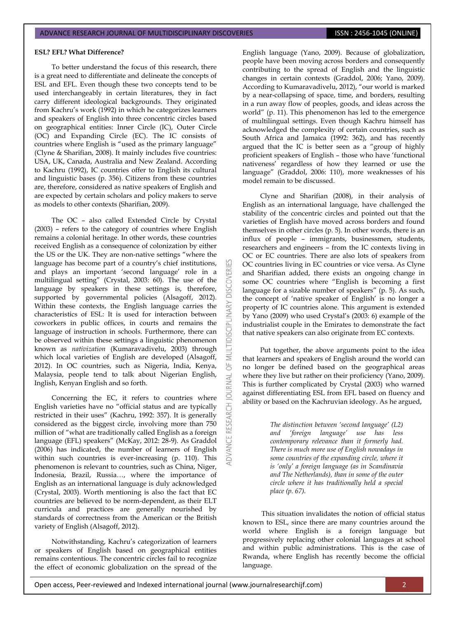#### **ESL? EFL? What Difference?**

To better understand the focus of this research, there is a great need to differentiate and delineate the concepts of ESL and EFL. Even though these two concepts tend to be used interchangeably in certain literatures, they in fact carry different ideological backgrounds. They originated from Kachru's work (1992) in which he categorizes learners and speakers of English into three concentric circles based on geographical entities: Inner Circle (IC), Outer Circle (OC) and Expanding Circle (EC). The IC consists of countries where English is "used as the primary language" (Clyne & Sharifian, 2008). It mainly includes five countries: USA, UK, Canada, Australia and New Zealand. According to Kachru (1992), IC countries offer to English its cultural and linguistic bases (p. 356). Citizens from these countries are, therefore, considered as native speakers of English and are expected by certain scholars and policy makers to serve as models to other contexts (Sharifian, 2009).

The OC – also called Extended Circle by Crystal (2003) – refers to the category of countries where English remains a colonial heritage. In other words, these countries received English as a consequence of colonization by either the US or the UK. They are non-native settings "where the language has become part of a country's chief institutions, and plays an important "second language" role in a multilingual setting" (Crystal, 2003: 60). The use of the language by speakers in these settings is, therefore, supported by governmental policies (Alsagoff, 2012). Within these contexts, the English language carries the characteristics of ESL: It is used for interaction between coworkers in public offices, in courts and remains the language of instruction in schools. Furthermore, there can be observed within these settings a linguistic phenomenon known as *nativization* (Kumaravadivelu, 2003) through which local varieties of English are developed (Alsagoff, 2012). In OC countries, such as Nigeria, India, Kenya, Malaysia, people tend to talk about Nigerian English, Inglish, Kenyan English and so forth.

**DISCOVERI** 

NARY

5F **IRNAL** a

RESEARCH

Concerning the EC, it refers to countries where English varieties have no "official status and are typically restricted in their uses" (Kachru, 1992: 357). It is generally considered as the biggest circle, involving more than 750 million of "what are traditionally called English as a foreign language (EFL) speakers" (McKay, 2012: 28-9). As Graddol (2006) has indicated, the number of learners of English within such countries is ever-increasing (p. 110). This phenomenon is relevant to countries, such as China, Niger, Indonesia, Brazil, Russia…, where the importance of English as an international language is duly acknowledged (Crystal, 2003). Worth mentioning is also the fact that EC countries are believed to be norm-dependent, as their ELT curricula and practices are generally nourished by standards of correctness from the American or the British variety of English (Alsagoff, 2012).

Notwithstanding, Kachru's categorization of learners or speakers of English based on geographical entities remains contentious. The concentric circles fail to recognize the effect of economic globalization on the spread of the English language (Yano, 2009). Because of globalization, people have been moving across borders and consequently contributing to the spread of English and the linguistic changes in certain contexts (Graddol, 2006; Yano, 2009). According to Kumaravadivelu, 2012), "our world is marked by a near-collapsing of space, time, and borders, resulting in a run away flow of peoples, goods, and ideas across the world" (p. 11). This phenomenon has led to the emergence of multilingual settings. Even though Kachru himself has acknowledged the complexity of certain countries, such as South Africa and Jamaica (1992: 362), and has recently argued that the IC is better seen as a "group of highly proficient speakers of English – those who have "functional nativeness" regardless of how they learned or use the language" (Graddol, 2006: 110), more weaknesses of his model remain to be discussed.

Clyne and Sharifian (2008), in their analysis of English as an international language, have challenged the stability of the concentric circles and pointed out that the varieties of English have moved across borders and found themselves in other circles (p. 5). In other words, there is an influx of people – immigrants, businessmen, students, researchers and engineers – from the IC contexts living in OC or EC countries. There are also lots of speakers from OC countries living in EC countries or vice versa. As Clyne and Sharifian added, there exists an ongoing change in some OC countries where "English is becoming a first language for a sizable number of speakers" (p. 5). As such, the concept of 'native speaker of English' is no longer a property of IC countries alone. This argument is extended by Yano (2009) who used Crystal"s (2003: 6) example of the industrialist couple in the Emirates to demonstrate the fact that native speakers can also originate from EC contexts.

Put together, the above arguments point to the idea that learners and speakers of English around the world can no longer be defined based on the geographical areas where they live but rather on their proficiency (Yano, 2009). This is further complicated by Crystal (2003) who warned against differentiating ESL from EFL based on fluency and ability or based on the Kachruvian ideology. As he argued,

> *The distinction between "second language" (L2) and "foreign language" use has less contemporary relevance than it formerly had. There is much more use of English nowadays in some countries of the expanding circle, where it is "only" a foreign language (as in Scandinavia and The Netherlands), than in some of the outer circle where it has traditionally held a special place (p. 67).*

This situation invalidates the notion of official status known to ESL, since there are many countries around the world where English is a foreign language but progressively replacing other colonial languages at school and within public administrations. This is the case of Rwanda, where English has recently become the official language.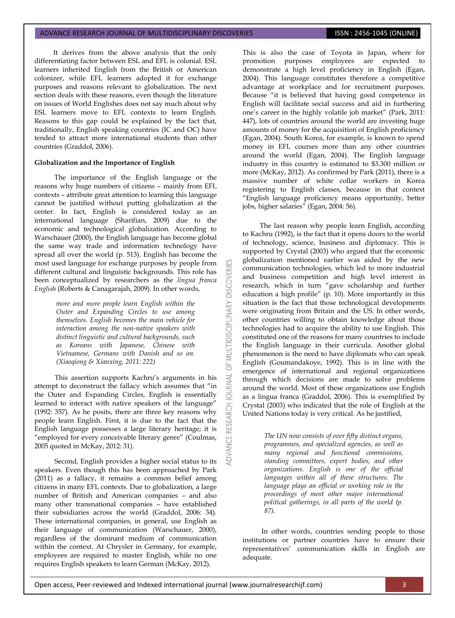It derives from the above analysis that the only differentiating factor between ESL and EFL is colonial. ESL learners inherited English from the British or American colonizer, while EFL learners adopted it for exchange purposes and reasons relevant to globalization. The next section deals with these reasons, even though the literature on issues of World Englishes does not say much about why ESL learners move to EFL contexts to learn English. Reasons to this gap could be explained by the fact that, traditionally, English speaking countries (IC and OC) have tended to attract more international students than other countries (Graddol, 2006).

## **Globalization and the Importance of English**

The importance of the English language or the reasons why huge numbers of citizens – mainly from EFL contexts – attribute great attention to learning this language cannot be justified without putting globalization at the center. In fact, English is considered today as an international language (Sharifian, 2009) due to the economic and technological globalization. According to Warschauer (2000), the English language has become global the same way trade and information technology have spread all over the world (p. 513). English has become the most used language for exchange purposes by people from different cultural and linguistic backgrounds. This role has been conceptualized by researchers as the *lingua franca English* (Roberts & Canagarajah, 2009). In other words,

> *more and more people learn English within the Outer and Expanding Circles to use among themselves. English becomes the main vehicle for interaction among the non-native speakers with distinct linguistic and cultural backgrounds, such as Koreans with Japanese, Chinese with Vietnamese, Germans with Danish and so on. (Xiaoqiong & Xianxing, 2011: 222)*

This assertion supports Kachru's arguments in his attempt to deconstruct the fallacy which assumes that "in the Outer and Expanding Circles, English is essentially learned to interact with native speakers of the language" (1992: 357). As he posits, there are three key reasons why people learn English. First, it is due to the fact that the English language possesses a large literary heritage; it is "employed for every conceivable literary genre" (Coulmas, 2005 quoted in McKay, 2012: 31).

Second, English provides a higher social status to its speakers. Even though this has been approached by Park (2011) as a fallacy, it remains a common belief among citizens in many EFL contexts. Due to globalization, a large number of British and American companies – and also many other transnational companies – have established their subsidiaries across the world (Graddol, 2006: 34). These international companies, in general, use English as their language of communication (Warschauer, 2000), regardless of the dominant medium of communication within the context. At Chrysler in Germany, for example, employees are required to master English, while no one requires English speakers to learn German (McKay, 2012).

This is also the case of Toyota in Japan, where for promotion purposes employees are expected to demonstrate a high level proficiency in English (Egan, 2004). This language constitutes therefore a competitive advantage at workplace and for recruitment purposes. Because "it is believed that having good competence in English will facilitate social success and aid in furthering one's career in the highly volatile job market" (Park, 2011: 447), lots of countries around the world are investing huge amounts of money for the acquisition of English proficiency (Egan, 2004). South Korea, for example, is known to spend money in EFL courses more than any other countries around the world (Egan, 2004). The English language industry in this country is estimated to \$3.300 million or more (McKay, 2012). As confirmed by Park (2011), there is a massive number of white collar workers in Korea registering to English classes, because in that context "English language proficiency means opportunity, better jobs, higher salaries" (Egan, 2004: 56).

The last reason why people learn English, according to Kachru (1992), is the fact that it opens doors to the world of technology, science, business and diplomacy. This is supported by Crystal (2003) who argued that the economic globalization mentioned earlier was aided by the new communication technologies, which led to more industrial and business competition and high level interest in research, which in turn "gave scholarship and further education a high profile" (p. 10). More importantly in this situation is the fact that those technological developments were originating from Britain and the US. In other words, other countries willing to obtain knowledge about those technologies had to acquire the ability to use English. This constituted one of the reasons for many countries to include the English language in their curricula. Another global phenomenon is the need to have diplomats who can speak English (Goumandakoye, 1992). This is in line with the emergence of international and regional organizations through which decisions are made to solve problems around the world. Most of these organizations use English as a lingua franca (Graddol, 2006). This is exemplified by Crystal (2003) who indicated that the role of English at the United Nations today is very critical. As he justified,

> *The UN now consists of over fifty distinct organs, programmes, and specialized agencies, as well as many regional and functional commissions, standing committees, expert bodies, and other organizations. English is one of the official languages within all of these structures. The language plays an official or working role in the proceedings of most other major international political gatherings, in all parts of the world (p. 87).*

In other words, countries sending people to those institutions or partner countries have to ensure their representatives" communication skills in English are adequate.

MULTIDISCIPLINARY DISCOVERI

5

**JRNAL**  $\overline{a}$ 

**RESEARCH**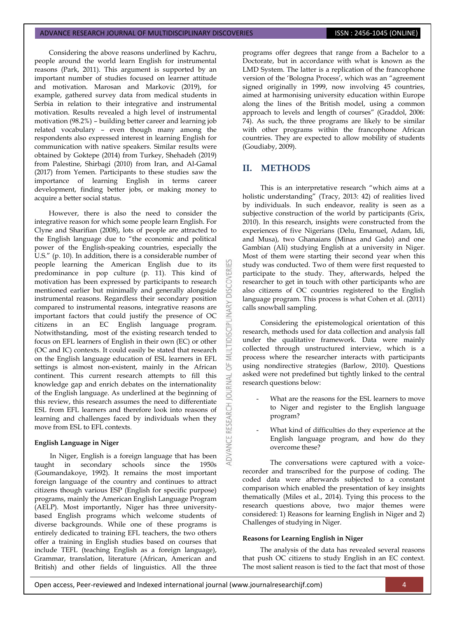#### ADVANCE RESEARCH JOURNAL OF MULTIDISCIPLINARY DISCOVERIES **ISSN : 2456-1045 (ONLINE)**

Considering the above reasons underlined by Kachru, people around the world learn English for instrumental reasons (Park, 2011). This argument is supported by an important number of studies focused on learner attitude and motivation. Marosan and Markovic (2019), for example, gathered survey data from medical students in Serbia in relation to their integrative and instrumental motivation. Results revealed a high level of instrumental motivation (98.2%) – building better career and learning job related vocabulary – even though many among the respondents also expressed interest in learning English for communication with native speakers. Similar results were obtained by Goktepe (2014) from Turkey, Shehadeh (2019) from Palestine, Shirbagi (2010) from Iran, and Al-Gamal (2017) from Yemen. Participants to these studies saw the importance of learning English in terms career development, finding better jobs, or making money to acquire a better social status.

However, there is also the need to consider the integrative reason for which some people learn English. For Clyne and Sharifian (2008), lots of people are attracted to the English language due to "the economic and political power of the English-speaking countries, especially the U.S." (p. 10). In addition, there is a considerable number of people learning the American English due to its predominance in pop culture (p. 11). This kind of motivation has been expressed by participants to research mentioned earlier but minimally and generally alongside instrumental reasons. Regardless their secondary position compared to instrumental reasons, integrative reasons are important factors that could justify the presence of OC citizens in an EC English language program. Notwithstanding, most of the existing research tended to focus on EFL learners of English in their own (EC) or other (OC and IC) contexts. It could easily be stated that research on the English language education of ESL learners in EFL settings is almost non-existent, mainly in the African continent. This current research attempts to fill this knowledge gap and enrich debates on the internationality of the English language. As underlined at the beginning of this review, this research assumes the need to differentiate ESL from EFL learners and therefore look into reasons of learning and challenges faced by individuals when they move from ESL to EFL contexts.

## **English Language in Niger**

In Niger, English is a foreign language that has been taught in secondary schools since the 1950s (Goumandakoye, 1992). It remains the most important foreign language of the country and continues to attract citizens though various ESP (English for specific purpose) programs, mainly the American English Language Program (AELP). Most importantly, Niger has three universitybased English programs which welcome students of diverse backgrounds. While one of these programs is entirely dedicated to training EFL teachers, the two others offer a training in English studies based on courses that include TEFL (teaching English as a foreign language), Grammar, translation, literature (African, American and British) and other fields of linguistics. All the three programs offer degrees that range from a Bachelor to a Doctorate, but in accordance with what is known as the LMD System. The latter is a replication of the francophone version of the 'Bologna Process', which was an "agreement signed originally in 1999, now involving 45 countries, aimed at harmonising university education within Europe along the lines of the British model, using a common approach to levels and length of courses" (Graddol, 2006: 74). As such, the three programs are likely to be similar with other programs within the francophone African countries. They are expected to allow mobility of students (Goudiaby, 2009).

# **II. METHODS**

COVERI

**DISCIPL** 

ö **IRNAL**  $\overline{0}$ 

ADVANCE RESEARCH

This is an interpretative research "which aims at a holistic understanding" (Tracy, 2013: 42) of realities lived by individuals. In such endeavor, reality is seen as a subjective construction of the world by participants (Grix, 2010). In this research, insights were constructed from the experiences of five Nigerians (Delu, Emanuel, Adam, Idi, and Musa), two Ghanaians (Minas and Gado) and one Gambian (Ali) studying English at a university in Niger. Most of them were starting their second year when this study was conducted. Two of them were first requested to participate to the study. They, afterwards, helped the researcher to get in touch with other participants who are also citizens of OC countries registered to the English language program. This process is what Cohen et al. (2011) calls snowball sampling.

Considering the epistemological orientation of this research, methods used for data collection and analysis fall under the qualitative framework. Data were mainly collected through unstructured interview, which is a process where the researcher interacts with participants using nondirective strategies (Barlow, 2010). Questions asked were not predefined but tightly linked to the central research questions below:

- What are the reasons for the ESL learners to move to Niger and register to the English language program?
- What kind of difficulties do they experience at the English language program, and how do they overcome these?

The conversations were captured with a voicerecorder and transcribed for the purpose of coding. The coded data were afterwards subjected to a constant comparison which enabled the presentation of key insights thematically (Miles et al., 2014). Tying this process to the research questions above, two major themes were considered: 1) Reasons for learning English in Niger and 2) Challenges of studying in Niger.

## **Reasons for Learning English in Niger**

The analysis of the data has revealed several reasons that push OC citizens to study English in an EC context. The most salient reason is tied to the fact that most of those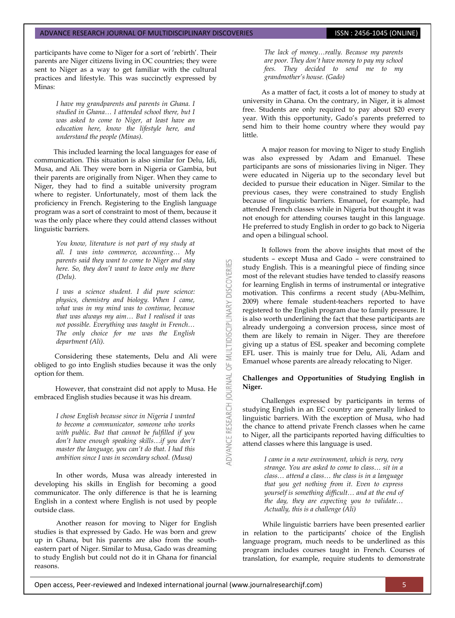participants have come to Niger for a sort of "rebirth". Their parents are Niger citizens living in OC countries; they were sent to Niger as a way to get familiar with the cultural practices and lifestyle. This was succinctly expressed by Minas:

> *I have my grandparents and parents in Ghana. I studied in Ghana… I attended school there, but I was asked to come to Niger, at least have an education here, know the lifestyle here, and understand the people (Minas).*

This included learning the local languages for ease of communication. This situation is also similar for Delu, Idi, Musa, and Ali. They were born in Nigeria or Gambia, but their parents are originally from Niger. When they came to Niger, they had to find a suitable university program where to register. Unfortunately, most of them lack the proficiency in French. Registering to the English language program was a sort of constraint to most of them, because it was the only place where they could attend classes without linguistic barriers.

> *You know, literature is not part of my study at all. I was into commerce, accounting… My parents said they want to come to Niger and stay here. So, they don"t want to leave only me there (Delu).*

> *I was a science student. I did pure science: physics, chemistry and biology. When I came, what was in my mind was to continue, because that was always my aim… But I realised it was not possible. Everything was taught in French… The only choice for me was the English department (Ali).*

MULTIDISCIPLINARY DISCOVERIES

5

**ADVANCE RESEARCH JOURNAL** 

Considering these statements, Delu and Ali were obliged to go into English studies because it was the only option for them.

However, that constraint did not apply to Musa. He embraced English studies because it was his dream.

> *I chose English because since in Nigeria I wanted to become a communicator, someone who works with public. But that cannot be fulfilled if you don"t have enough speaking skills…if you don"t master the language, you can"t do that. I had this ambition since I was in secondary school. (Musa)*

In other words, Musa was already interested in developing his skills in English for becoming a good communicator. The only difference is that he is learning English in a context where English is not used by people outside class.

Another reason for moving to Niger for English studies is that expressed by Gado. He was born and grew up in Ghana, but his parents are also from the southeastern part of Niger. Similar to Musa, Gado was dreaming to study English but could not do it in Ghana for financial reasons.

*The lack of money…really. Because my parents are poor. They don"t have money to pay my school fees. They decided to send me to my grandmother"s house. (Gado)*

As a matter of fact, it costs a lot of money to study at university in Ghana. On the contrary, in Niger, it is almost free. Students are only required to pay about \$20 every year. With this opportunity, Gado"s parents preferred to send him to their home country where they would pay little.

A major reason for moving to Niger to study English was also expressed by Adam and Emanuel. These participants are sons of missionaries living in Niger. They were educated in Nigeria up to the secondary level but decided to pursue their education in Niger. Similar to the previous cases, they were constrained to study English because of linguistic barriers. Emanuel, for example, had attended French classes while in Nigeria but thought it was not enough for attending courses taught in this language. He preferred to study English in order to go back to Nigeria and open a bilingual school.

It follows from the above insights that most of the students – except Musa and Gado – were constrained to study English. This is a meaningful piece of finding since most of the relevant studies have tended to classify reasons for learning English in terms of instrumental or integrative motivation. This confirms a recent study (Abu-Melhim, 2009) where female student-teachers reported to have registered to the English program due to family pressure. It is also worth underlining the fact that these participants are already undergoing a conversion process, since most of them are likely to remain in Niger. They are therefore giving up a status of ESL speaker and becoming complete EFL user. This is mainly true for Delu, Ali, Adam and Emanuel whose parents are already relocating to Niger.

## **Challenges and Opportunities of Studying English in Niger.**

Challenges expressed by participants in terms of studying English in an EC country are generally linked to linguistic barriers. With the exception of Musa, who had the chance to attend private French classes when he came to Niger, all the participants reported having difficulties to attend classes where this language is used.

> *I came in a new environment, which is very, very strange. You are asked to come to class… sit in a class… attend a class… the class is in a language that you get nothing from it. Even to express yourself is something difficult… and at the end of the day, they are expecting you to validate… Actually, this is a challenge (Ali)*

While linguistic barriers have been presented earlier in relation to the participants' choice of the English language program, much needs to be underlined as this program includes courses taught in French. Courses of translation, for example, require students to demonstrate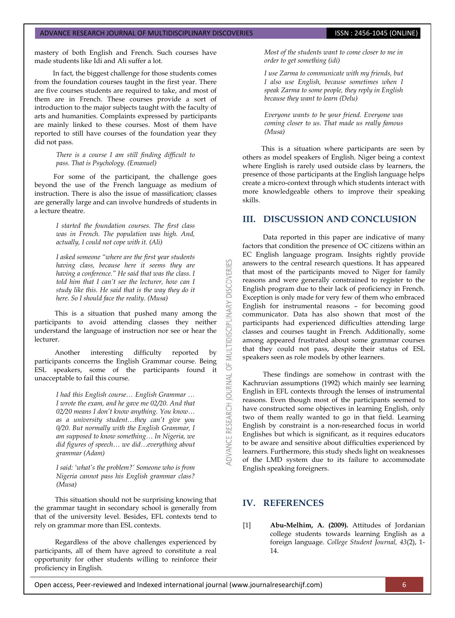mastery of both English and French. Such courses have made students like Idi and Ali suffer a lot.

In fact, the biggest challenge for those students comes from the foundation courses taught in the first year. There are five courses students are required to take, and most of them are in French. These courses provide a sort of introduction to the major subjects taught with the faculty of arts and humanities. Complaints expressed by participants are mainly linked to these courses. Most of them have reported to still have courses of the foundation year they did not pass.

> *There is a course I am still finding difficult to pass. That is Psychology. (Emanuel)*

For some of the participant, the challenge goes beyond the use of the French language as medium of instruction. There is also the issue of massification; classes are generally large and can involve hundreds of students in a lecture theatre.

> *I started the foundation courses. The first class was in French. The population was high. And, actually, I could not cope with it. (Ali)*

> *I asked someone "where are the first year students having class, because here it seems they are having a conference." He said that was the class. I told him that I can"t see the lecturer, how can I study like this. He said that is the way they do it here. So I should face the reality. (Musa)*

This is a situation that pushed many among the participants to avoid attending classes they neither understand the language of instruction nor see or hear the lecturer.

Another interesting difficulty reported by participants concerns the English Grammar course. Being ESL speakers, some of the participants found it unacceptable to fail this course.

> *I had this English course… English Grammar … I wrote the exam, and he gave me 02/20. And that 02/20 means I don"t know anything. You know… as a university student…they can"t give you 0/20. But normally with the English Grammar, I am supposed to know something… In Nigeria, we did figures of speech… we did…everything about grammar (Adam)*

> *I said: "what"s the problem?" Someone who is from Nigeria cannot pass his English grammar class? (Musa)*

This situation should not be surprising knowing that the grammar taught in secondary school is generally from that of the university level. Besides, EFL contexts tend to rely on grammar more than ESL contexts.

Regardless of the above challenges experienced by participants, all of them have agreed to constitute a real opportunity for other students willing to reinforce their proficiency in English.

*Most of the students want to come closer to me in order to get something (idi)*

*I use Zarma to communicate with my friends, but I also use English, because sometimes when I speak Zarma to some people, they reply in English because they want to learn (Delu)*

*Everyone wants to be your friend. Everyone was coming closer to us. That made us really famous (Musa)*

This is a situation where participants are seen by others as model speakers of English. Niger being a context where English is rarely used outside class by learners, the presence of those participants at the English language helps create a micro-context through which students interact with more knowledgeable others to improve their speaking skills.

# **III. DISCUSSION AND CONCLUSION**

Data reported in this paper are indicative of many factors that condition the presence of OC citizens within an EC English language program. Insights rightly provide answers to the central research questions. It has appeared that most of the participants moved to Niger for family reasons and were generally constrained to register to the English program due to their lack of proficiency in French. Exception is only made for very few of them who embraced English for instrumental reasons – for becoming good communicator. Data has also shown that most of the participants had experienced difficulties attending large classes and courses taught in French. Additionally, some among appeared frustrated about some grammar courses that they could not pass, despite their status of ESL speakers seen as role models by other learners.

These findings are somehow in contrast with the Kachruvian assumptions (1992) which mainly see learning English in EFL contexts through the lenses of instrumental reasons. Even though most of the participants seemed to have constructed some objectives in learning English, only two of them really wanted to go in that field. Learning English by constraint is a non-researched focus in world Englishes but which is significant, as it requires educators to be aware and sensitive about difficulties experienced by learners. Furthermore, this study sheds light on weaknesses of the LMD system due to its failure to accommodate English speaking foreigners.

# **IV. REFERENCES**

**DISCOVERIES** 

**IDISCIPLINARY** 

MULTI  $\overline{6}$ 

DVANCE RESEARCH JOURNAL

[1] **Abu-Melhim, A. (2009).** Attitudes of Jordanian college students towards learning English as a foreign language. *College Student Journal, 43*(2), 1- 14.